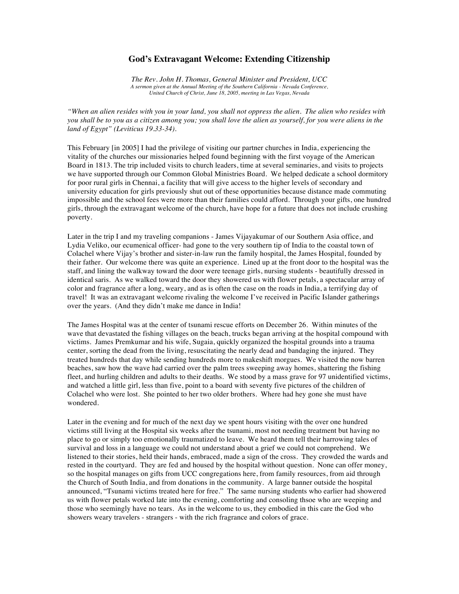## **God's Extravagant Welcome: Extending Citizenship**

*The Rev. John H. Thomas, General Minister and President, UCC A sermon given at the Annual Meeting of the Southern California - Nevada Conference, United Church of Christ, June 18, 2005, meeting in Las Vegas, Nevada*

*"When an alien resides with you in your land, you shall not oppress the alien. The alien who resides with you shall be to you as a citizen among you; you shall love the alien as yourself, for you were aliens in the land of Egypt" (Leviticus 19.33-34).*

This February [in 2005] I had the privilege of visiting our partner churches in India, experiencing the vitality of the churches our missionaries helped found beginning with the first voyage of the American Board in 1813. The trip included visits to church leaders, time at several seminaries, and visits to projects we have supported through our Common Global Ministries Board. We helped dedicate a school dormitory for poor rural girls in Chennai, a facility that will give access to the higher levels of secondary and university education for girls previously shut out of these opportunities because distance made commuting impossible and the school fees were more than their families could afford. Through your gifts, one hundred girls, through the extravagant welcome of the church, have hope for a future that does not include crushing poverty.

Later in the trip I and my traveling companions - James Vijayakumar of our Southern Asia office, and Lydia Veliko, our ecumenical officer- had gone to the very southern tip of India to the coastal town of Colachel where Vijay's brother and sister-in-law run the family hospital, the James Hospital, founded by their father. Our welcome there was quite an experience. Lined up at the front door to the hospital was the staff, and lining the walkway toward the door were teenage girls, nursing students - beautifully dressed in identical saris. As we walked toward the door they showered us with flower petals, a spectacular array of color and fragrance after a long, weary, and as is often the case on the roads in India, a terrifying day of travel! It was an extravagant welcome rivaling the welcome I've received in Pacific Islander gatherings over the years. (And they didn't make me dance in India!

The James Hospital was at the center of tsunami rescue efforts on December 26. Within minutes of the wave that devastated the fishing villages on the beach, trucks began arriving at the hospital compound with victims. James Premkumar and his wife, Sugaia, quickly organized the hospital grounds into a trauma center, sorting the dead from the living, resuscitating the nearly dead and bandaging the injured. They treated hundreds that day while sending hundreds more to makeshift morgues. We visited the now barren beaches, saw how the wave had carried over the palm trees sweeping away homes, shattering the fishing fleet, and hurling children and adults to their deaths. We stood by a mass grave for 97 unidentified victims, and watched a little girl, less than five, point to a board with seventy five pictures of the children of Colachel who were lost. She pointed to her two older brothers. Where had hey gone she must have wondered.

Later in the evening and for much of the next day we spent hours visiting with the over one hundred victims still living at the Hospital six weeks after the tsunami, most not needing treatment but having no place to go or simply too emotionally traumatized to leave. We heard them tell their harrowing tales of survival and loss in a language we could not understand about a grief we could not comprehend. We listened to their stories, held their hands, embraced, made a sign of the cross. They crowded the wards and rested in the courtyard. They are fed and housed by the hospital without question. None can offer money, so the hospital manages on gifts from UCC congregations here, from family resources, from aid through the Church of South India, and from donations in the community. A large banner outside the hospital announced, "Tsunami victims treated here for free." The same nursing students who earlier had showered us with flower petals worked late into the evening, comforting and consoling thsoe who are weeping and those who seemingly have no tears. As in the welcome to us, they embodied in this care the God who showers weary travelers - strangers - with the rich fragrance and colors of grace.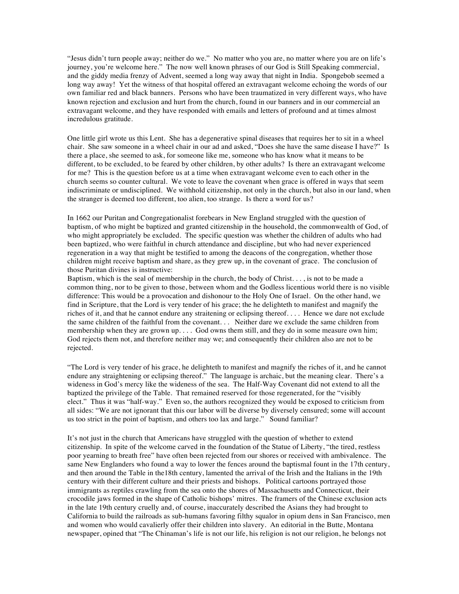"Jesus didn't turn people away; neither do we." No matter who you are, no matter where you are on life's journey, you're welcome here." The now well known phrases of our God is Still Speaking commercial, and the giddy media frenzy of Advent, seemed a long way away that night in India. Spongebob seemed a long way away! Yet the witness of that hospital offered an extravagant welcome echoing the words of our own familiar red and black banners. Persons who have been traumatized in very different ways, who have known rejection and exclusion and hurt from the church, found in our banners and in our commercial an extravagant welcome, and they have responded with emails and letters of profound and at times almost incredulous gratitude.

One little girl wrote us this Lent. She has a degenerative spinal diseases that requires her to sit in a wheel chair. She saw someone in a wheel chair in our ad and asked, "Does she have the same disease I have?" Is there a place, she seemed to ask, for someone like me, someone who has know what it means to be different, to be excluded, to be feared by other children, by other adults? Is there an extravagant welcome for me? This is the question before us at a time when extravagant welcome even to each other in the church seems so counter cultural. We vote to leave the covenant when grace is offered in ways that seem indiscriminate or undisciplined. We withhold citizenship, not only in the church, but also in our land, when the stranger is deemed too different, too alien, too strange. Is there a word for us?

In 1662 our Puritan and Congregationalist forebears in New England struggled with the question of baptism, of who might be baptized and granted citizenship in the household, the commonwealth of God, of who might appropriately be excluded. The specific question was whether the children of adults who had been baptized, who were faithful in church attendance and discipline, but who had never experienced regeneration in a way that might be testified to among the deacons of the congregation, whether those children might receive baptism and share, as they grew up, in the covenant of grace. The conclusion of those Puritan divines is instructive:

Baptism, which is the seal of membership in the church, the body of Christ. . . , is not to be made a common thing, nor to be given to those, between whom and the Godless licentious world there is no visible difference: This would be a provocation and dishonour to the Holy One of Israel. On the other hand, we find in Scripture, that the Lord is very tender of his grace; the he delighteth to manifest and magnify the riches of it, and that he cannot endure any straitening or eclipsing thereof. . . . Hence we dare not exclude the same children of the faithful from the covenant. . . Neither dare we exclude the same children from membership when they are grown up.... God owns them still, and they do in some measure own him; God rejects them not, and therefore neither may we; and consequently their children also are not to be rejected.

"The Lord is very tender of his grace, he delighteth to manifest and magnify the riches of it, and he cannot endure any straightening or eclipsing thereof." The language is archaic, but the meaning clear. There's a wideness in God's mercy like the wideness of the sea. The Half-Way Covenant did not extend to all the baptized the privilege of the Table. That remained reserved for those regenerated, for the "visibly elect." Thus it was "half-way." Even so, the authors recognized they would be exposed to criticism from all sides: "We are not ignorant that this our labor will be diverse by diversely censured; some will account us too strict in the point of baptism, and others too lax and large." Sound familiar?

It's not just in the church that Americans have struggled with the question of whether to extend citizenship. In spite of the welcome carved in the foundation of the Statue of Liberty, "the tired, restless poor yearning to breath free" have often been rejected from our shores or received with ambivalence. The same New Englanders who found a way to lower the fences around the baptismal fount in the 17th century, and then around the Table in the18th century, lamented the arrival of the Irish and the Italians in the 19th century with their different culture and their priests and bishops. Political cartoons portrayed those immigrants as reptiles crawling from the sea onto the shores of Massachusetts and Connecticut, their crocodile jaws formed in the shape of Catholic bishops' mitres. The framers of the Chinese exclusion acts in the late 19th century cruelly and, of course, inaccurately described the Asians they had brought to California to build the railroads as sub-humans favoring filthy squalor in opium dens in San Francisco, men and women who would cavalierly offer their children into slavery. An editorial in the Butte, Montana newspaper, opined that "The Chinaman's life is not our life, his religion is not our religion, he belongs not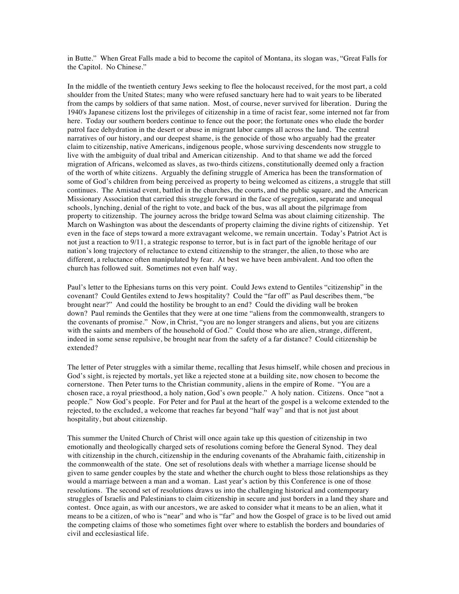in Butte." When Great Falls made a bid to become the capitol of Montana, its slogan was, "Great Falls for the Capitol. No Chinese."

In the middle of the twentieth century Jews seeking to flee the holocaust received, for the most part, a cold shoulder from the United States; many who were refused sanctuary here had to wait years to be liberated from the camps by soldiers of that same nation. Most, of course, never survived for liberation. During the 1940's Japanese citizens lost the privileges of citizenship in a time of racist fear, some interned not far from here. Today our southern borders continue to fence out the poor; the fortunate ones who elude the border patrol face dehydration in the desert or abuse in migrant labor camps all across the land. The central narratives of our history, and our deepest shame, is the genocide of those who arguably had the greater claim to citizenship, native Americans, indigenous people, whose surviving descendents now struggle to live with the ambiguity of dual tribal and American citizenship. And to that shame we add the forced migration of Africans, welcomed as slaves, as two-thirds citizens, constitutionally deemed only a fraction of the worth of white citizens. Arguably the defining struggle of America has been the transformation of some of God's children from being perceived as property to being welcomed as citizens, a struggle that still continues. The Amistad event, battled in the churches, the courts, and the public square, and the American Missionary Association that carried this struggle forward in the face of segregation, separate and unequal schools, lynching, denial of the right to vote, and back of the bus, was all about the pilgrimage from property to citizenship. The journey across the bridge toward Selma was about claiming citizenship. The March on Washington was about the descendants of property claiming the divine rights of citizenship. Yet even in the face of steps toward a more extravagant welcome, we remain uncertain. Today's Patriot Act is not just a reaction to 9/11, a strategic response to terror, but is in fact part of the ignoble heritage of our nation's long trajectory of reluctance to extend citizenship to the stranger, the alien, to those who are different, a reluctance often manipulated by fear. At best we have been ambivalent. And too often the church has followed suit. Sometimes not even half way.

Paul's letter to the Ephesians turns on this very point. Could Jews extend to Gentiles "citizenship" in the covenant? Could Gentiles extend to Jews hospitality? Could the "far off" as Paul describes them, "be brought near?" And could the hostility be brought to an end? Could the dividing wall be broken down? Paul reminds the Gentiles that they were at one time "aliens from the commonwealth, strangers to the covenants of promise." Now, in Christ, "you are no longer strangers and aliens, but you are citizens with the saints and members of the household of God." Could those who are alien, strange, different, indeed in some sense repulsive, be brought near from the safety of a far distance? Could citizenship be extended?

The letter of Peter struggles with a similar theme, recalling that Jesus himself, while chosen and precious in God's sight, is rejected by mortals, yet like a rejected stone at a building site, now chosen to become the cornerstone. Then Peter turns to the Christian community, aliens in the empire of Rome. "You are a chosen race, a royal priesthood, a holy nation, God's own people." A holy nation. Citizens. Once "not a people." Now God's people. For Peter and for Paul at the heart of the gospel is a welcome extended to the rejected, to the excluded, a welcome that reaches far beyond "half way" and that is not just about hospitality, but about citizenship.

This summer the United Church of Christ will once again take up this question of citizenship in two emotionally and theologically charged sets of resolutions coming before the General Synod. They deal with citizenship in the church, citizenship in the enduring covenants of the Abrahamic faith, citizenship in the commonwealth of the state. One set of resolutions deals with whether a marriage license should be given to same gender couples by the state and whether the church ought to bless those relationships as they would a marriage between a man and a woman. Last year's action by this Conference is one of those resolutions. The second set of resolutions draws us into the challenging historical and contemporary struggles of Israelis and Palestinians to claim citizenship in secure and just borders in a land they share and contest. Once again, as with our ancestors, we are asked to consider what it means to be an alien, what it means to be a citizen, of who is "near" and who is "far" and how the Gospel of grace is to be lived out amid the competing claims of those who sometimes fight over where to establish the borders and boundaries of civil and ecclesiastical life.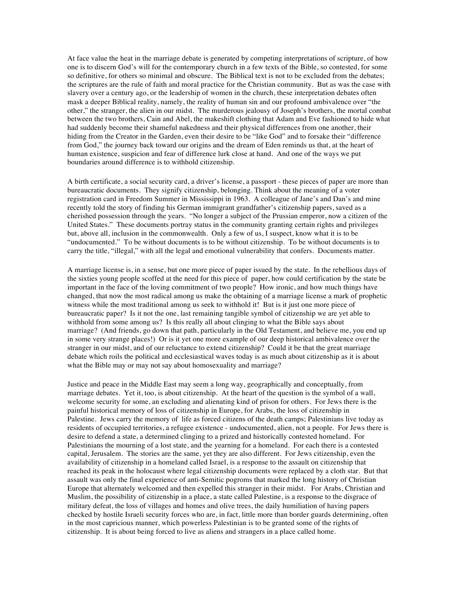At face value the heat in the marriage debate is generated by competing interpretations of scripture, of how one is to discern God's will for the contemporary church in a few texts of the Bible, so contested, for some so definitive, for others so minimal and obscure. The Biblical text is not to be excluded from the debates; the scriptures are the rule of faith and moral practice for the Christian community. But as was the case with slavery over a century ago, or the leadership of women in the church, these interpretation debates often mask a deeper Biblical reality, namely, the reality of human sin and our profound ambivalence over "the other," the stranger, the alien in our midst. The murderous jealousy of Joseph's brothers, the mortal combat between the two brothers, Cain and Abel, the makeshift clothing that Adam and Eve fashioned to hide what had suddenly become their shameful nakedness and their physical differences from one another, their hiding from the Creator in the Garden, even their desire to be "like God" and to forsake their "difference from God," the journey back toward our origins and the dream of Eden reminds us that, at the heart of human existence, suspicion and fear of difference lurk close at hand. And one of the ways we put boundaries around difference is to withhold citizenship.

A birth certificate, a social security card, a driver's license, a passport - these pieces of paper are more than bureaucratic documents. They signify citizenship, belonging. Think about the meaning of a voter registration card in Freedom Summer in Mississippi in 1963. A colleague of Jane's and Dan's and mine recently told the story of finding his German immigrant grandfather's citizenship papers, saved as a cherished possession through the years. "No longer a subject of the Prussian emperor, now a citizen of the United States." These documents portray status in the community granting certain rights and privileges but, above all, inclusion in the commonwealth. Only a few of us, I suspect, know what it is to be "undocumented." To be without documents is to be without citizenship. To be without documents is to carry the title, "illegal," with all the legal and emotional vulnerability that confers. Documents matter.

A marriage license is, in a sense, but one more piece of paper issued by the state. In the rebellious days of the sixties young people scoffed at the need for this piece of paper, how could certification by the state be important in the face of the loving commitment of two people? How ironic, and how much things have changed, that now the most radical among us make the obtaining of a marriage license a mark of prophetic witness while the most traditional among us seek to withhold it! But is it just one more piece of bureaucratic paper? Is it not the one, last remaining tangible symbol of citizenship we are yet able to withhold from some among us? Is this really all about clinging to what the Bible says about marriage? (And friends, go down that path, particularly in the Old Testament, and believe me, you end up in some very strange places!) Or is it yet one more example of our deep historical ambivalence over the stranger in our midst, and of our reluctance to extend citizenship? Could it be that the great marriage debate which roils the political and ecclesiastical waves today is as much about citizenship as it is about what the Bible may or may not say about homosexuality and marriage?

Justice and peace in the Middle East may seem a long way, geographically and conceptually, from marriage debates. Yet it, too, is about citizenship. At the heart of the question is the symbol of a wall, welcome security for some, an excluding and alienating kind of prison for others. For Jews there is the painful historical memory of loss of citizenship in Europe, for Arabs, the loss of citizenship in Palestine. Jews carry the memory of life as forced citizens of the death camps; Palestinians live today as residents of occupied territories, a refugee existence - undocumented, alien, not a people. For Jews there is desire to defend a state, a determined clinging to a prized and historically contested homeland. For Palestinians the mourning of a lost state, and the yearning for a homeland. For each there is a contested capital, Jerusalem. The stories are the same, yet they are also different. For Jews citizenship, even the availability of citizenship in a homeland called Israel, is a response to the assault on citizenship that reached its peak in the holocaust where legal citizenship documents were replaced by a cloth star. But that assault was only the final experience of anti-Semitic pogroms that marked the long history of Christian Europe that alternately welcomed and then expelled this stranger in their midst. For Arabs, Christian and Muslim, the possibility of citizenship in a place, a state called Palestine, is a response to the disgrace of military defeat, the loss of villages and homes and olive trees, the daily humiliation of having papers checked by hostile Israeli security forces who are, in fact, little more than border guards determining, often in the most capricious manner, which powerless Palestinian is to be granted some of the rights of citizenship. It is about being forced to live as aliens and strangers in a place called home.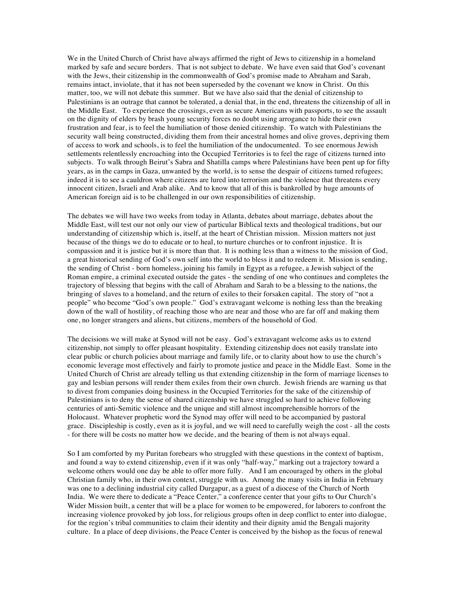We in the United Church of Christ have always affirmed the right of Jews to citizenship in a homeland marked by safe and secure borders. That is not subject to debate. We have even said that God's covenant with the Jews, their citizenship in the commonwealth of God's promise made to Abraham and Sarah, remains intact, inviolate, that it has not been superseded by the covenant we know in Christ. On this matter, too, we will not debate this summer. But we have also said that the denial of citizenship to Palestinians is an outrage that cannot be tolerated, a denial that, in the end, threatens the citizenship of all in the Middle East. To experience the crossings, even as secure Americans with passports, to see the assault on the dignity of elders by brash young security forces no doubt using arrogance to hide their own frustration and fear, is to feel the humiliation of those denied citizenship. To watch with Palestinians the security wall being constructed, dividing them from their ancestral homes and olive groves, depriving them of access to work and schools, is to feel the humiliation of the undocumented. To see enormous Jewish settlements relentlessly encroaching into the Occupied Territories is to feel the rage of citizens turned into subjects. To walk through Beirut's Sabra and Shatilla camps where Palestinians have been pent up for fifty years, as in the camps in Gaza, unwanted by the world, is to sense the despair of citizens turned refugees; indeed it is to see a cauldron where citizens are lured into terrorism and the violence that threatens every innocent citizen, Israeli and Arab alike. And to know that all of this is bankrolled by huge amounts of American foreign aid is to be challenged in our own responsibilities of citizenship.

The debates we will have two weeks from today in Atlanta, debates about marriage, debates about the Middle East, will test our not only our view of particular Biblical texts and theological traditions, but our understanding of citizenship which is, itself, at the heart of Christian mission. Mission matters not just because of the things we do to educate or to heal, to nurture churches or to confront injustice. It is compassion and it is justice but it is more than that. It is nothing less than a witness to the mission of God, a great historical sending of God's own self into the world to bless it and to redeem it. Mission is sending, the sending of Christ - born homeless, joining his family in Egypt as a refugee, a Jewish subject of the Roman empire, a criminal executed outside the gates - the sending of one who continues and completes the trajectory of blessing that begins with the call of Abraham and Sarah to be a blessing to the nations, the bringing of slaves to a homeland, and the return of exiles to their forsaken capital. The story of "not a people" who become "God's own people." God's extravagant welcome is nothing less than the breaking down of the wall of hostility, of reaching those who are near and those who are far off and making them one, no longer strangers and aliens, but citizens, members of the household of God.

The decisions we will make at Synod will not be easy. God's extravagant welcome asks us to extend citizenship, not simply to offer pleasant hospitality. Extending citizenship does not easily translate into clear public or church policies about marriage and family life, or to clarity about how to use the church's economic leverage most effectively and fairly to promote justice and peace in the Middle East. Some in the United Church of Christ are already telling us that extending citizenship in the form of marriage licenses to gay and lesbian persons will render them exiles from their own church. Jewish friends are warning us that to divest from companies doing business in the Occupied Territories for the sake of the citizenship of Palestinians is to deny the sense of shared citizenship we have struggled so hard to achieve following centuries of anti-Semitic violence and the unique and still almost incomprehensible horrors of the Holocaust. Whatever prophetic word the Synod may offer will need to be accompanied by pastoral grace. Discipleship is costly, even as it is joyful, and we will need to carefully weigh the cost - all the costs - for there will be costs no matter how we decide, and the bearing of them is not always equal.

So I am comforted by my Puritan forebears who struggled with these questions in the context of baptism, and found a way to extend citizenship, even if it was only "half-way," marking out a trajectory toward a welcome others would one day be able to offer more fully. And I am encouraged by others in the global Christian family who, in their own context, struggle with us. Among the many visits in India in February was one to a declining industrial city called Durgapur, as a guest of a diocese of the Church of North India. We were there to dedicate a "Peace Center," a conference center that your gifts to Our Church's Wider Mission built, a center that will be a place for women to be empowered, for laborers to confront the increasing violence provoked by job loss, for religious groups often in deep conflict to enter into dialogue, for the region's tribal communities to claim their identity and their dignity amid the Bengali majority culture. In a place of deep divisions, the Peace Center is conceived by the bishop as the focus of renewal